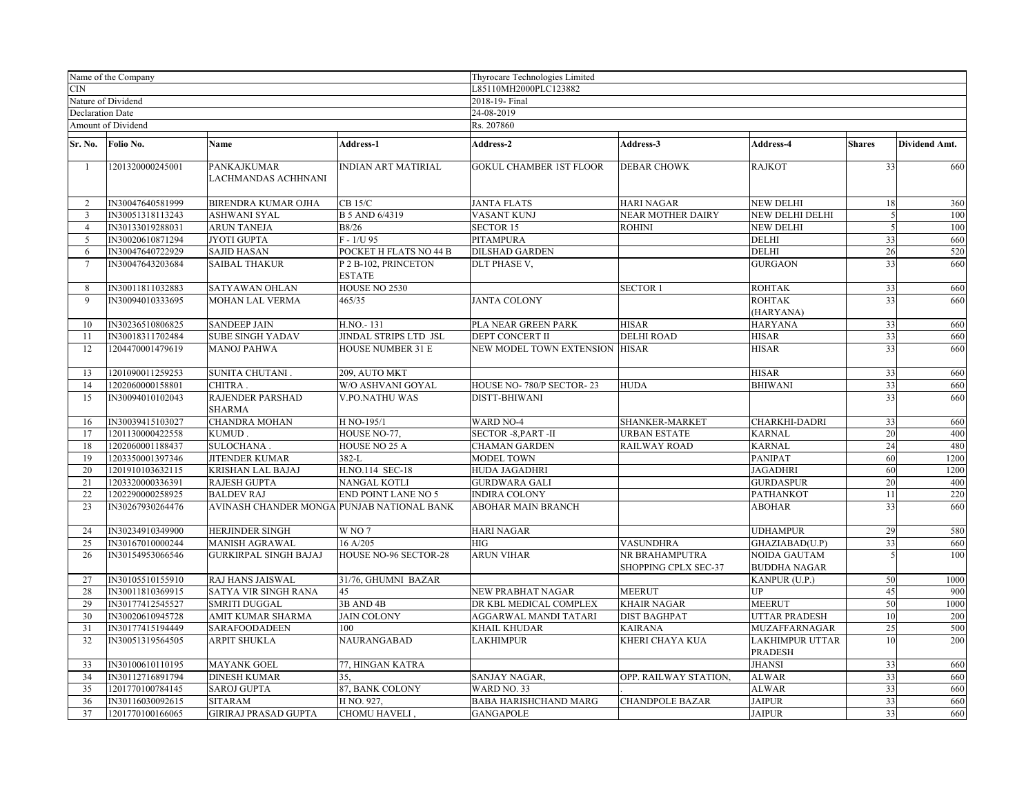| Name of the Company |                         | Thyrocare Technologies Limited             |                                       |                                |                                        |                                     |               |               |  |  |
|---------------------|-------------------------|--------------------------------------------|---------------------------------------|--------------------------------|----------------------------------------|-------------------------------------|---------------|---------------|--|--|
| <b>CIN</b>          |                         |                                            | L85110MH2000PLC123882                 |                                |                                        |                                     |               |               |  |  |
|                     | Nature of Dividend      |                                            |                                       | 2018-19- Final                 |                                        |                                     |               |               |  |  |
|                     | <b>Declaration Date</b> |                                            |                                       | 24-08-2019                     |                                        |                                     |               |               |  |  |
|                     | Amount of Dividend      |                                            |                                       | Rs. 207860                     |                                        |                                     |               |               |  |  |
| Sr. No.             | Folio No.               | Name                                       | Address-1                             | Address-2                      | Address-3                              | Address-4                           | <b>Shares</b> | Dividend Amt. |  |  |
| -1                  | 1201320000245001        | PANKAJKUMAR<br>LACHMANDAS ACHHNANI         | INDIAN ART MATIRIAL                   | <b>GOKUL CHAMBER 1ST FLOOR</b> | <b>DEBAR CHOWK</b>                     | RAJKOT                              | 33            | 660           |  |  |
| 2                   | IN30047640581999        | <b>BIRENDRA KUMAR OJHA</b>                 | $CB$ 15/ $C$                          | <b>JANTA FLATS</b>             | <b>HARI NAGAR</b>                      | <b>NEW DELHI</b>                    | 18            | 360           |  |  |
| $\overline{3}$      | IN30051318113243        | <b>ASHWANI SYAL</b>                        | B 5 AND 6/4319                        | VASANT KUNJ                    | <b>NEAR MOTHER DAIRY</b>               | NEW DELHI DELHI                     | 5             | 100           |  |  |
| $\overline{4}$      | IN30133019288031        | <b>ARUN TANEJA</b>                         | <b>B8/26</b>                          | <b>SECTOR 15</b>               | <b>ROHINI</b>                          | NEW DELHI                           | 5             | 100           |  |  |
| 5                   | IN30020610871294        | JYOTI GUPTA                                | $F - 1/U$ 95                          | PITAMPURA                      |                                        | <b>DELHI</b>                        | 33            | 660           |  |  |
| 6                   | IN30047640722929        | <b>SAJID HASAN</b>                         | POCKET H FLATS NO 44 B                | <b>DILSHAD GARDEN</b>          |                                        | DELHI                               | 26            | 520           |  |  |
| $\tau$              | IN30047643203684        | <b>SAIBAL THAKUR</b>                       | P 2 B-102, PRINCETON<br><b>ESTATE</b> | DLT PHASE V,                   |                                        | <b>GURGAON</b>                      | 33            | 660           |  |  |
| 8                   | IN30011811032883        | SATYAWAN OHLAN                             | HOUSE NO 2530                         |                                | <b>SECTOR1</b>                         | ROHTAK                              | 33            | 660           |  |  |
| 9                   | IN30094010333695        | MOHAN LAL VERMA                            | 465/35                                | <b>JANTA COLONY</b>            |                                        | <b>ROHTAK</b><br>(HARYANA)          | 33            | 660           |  |  |
| 10                  | IN30236510806825        | <b>SANDEEP JAIN</b>                        | H.NO.-131                             | PLA NEAR GREEN PARK            | <b>HISAR</b>                           | <b>HARYANA</b>                      | 33            | 660           |  |  |
| 11                  | IN30018311702484        | <b>SUBE SINGH YADAV</b>                    | JINDAL STRIPS LTD JSL                 | DEPT CONCERT II                | <b>DELHI ROAD</b>                      | <b>HISAR</b>                        | 33            | 660           |  |  |
| 12                  | 1204470001479619        | <b>MANOJ PAHWA</b>                         | <b>HOUSE NUMBER 31 E</b>              | NEW MODEL TOWN EXTENSION       | <b>HISAR</b>                           | <b>HISAR</b>                        | 33            | 660           |  |  |
| 13                  | 1201090011259253        | SUNITA CHUTANI.                            | 209. AUTO MKT                         |                                |                                        | HISAR                               | 33            | 660           |  |  |
| 14                  | 1202060000158801        | CHITRA.                                    | W/O ASHVANI GOYAL                     | HOUSE NO-780/P SECTOR-23       | <b>HUDA</b>                            | <b>BHIWANI</b>                      | 33            | 660           |  |  |
| 15                  | IN30094010102043        | RAJENDER PARSHAD<br><b>SHARMA</b>          | V.PO.NATHU WAS                        | DISTT-BHIWANI                  |                                        |                                     | 33            | 660           |  |  |
| 16                  | IN30039415103027        | <b>CHANDRA MOHAN</b>                       | H NO-195/1                            | <b>WARD NO-4</b>               | SHANKER-MARKET                         | CHARKHI-DADRI                       | 33            | 660           |  |  |
| 17                  | 1201130000422558        | KUMUD.                                     | HOUSE NO-77,                          | SECTOR -8, PART -II            | URBAN ESTATE                           | <b>KARNAL</b>                       | 20            | 400           |  |  |
| 18                  | 1202060001188437        | SULOCHANA.                                 | HOUSE NO 25 A                         | <b>CHAMAN GARDEN</b>           | <b>RAILWAY ROAD</b>                    | <b>KARNAL</b>                       | 24            | 480           |  |  |
| 19                  | 1203350001397346        | <b>JITENDER KUMAR</b>                      | $382-L$                               | <b>MODEL TOWN</b>              |                                        | PANIPAT                             | 60            | 1200          |  |  |
| 20                  | 1201910103632115        | <b>KRISHAN LAL BAJAJ</b>                   | H.NO.114 SEC-18                       | HUDA JAGADHRI                  |                                        | <b>JAGADHRI</b>                     | 60            | 1200          |  |  |
| 21                  | 1203320000336391        | <b>RAJESH GUPTA</b>                        | NANGAL KOTLI                          | <b>GURDWARA GALI</b>           |                                        | GURDASPUR                           | 20            | 400           |  |  |
| 22                  | 1202290000258925        | <b>BALDEV RAJ</b>                          | END POINT LANE NO 5                   | <b>INDIRA COLONY</b>           |                                        | PATHANKOT                           | 11            | 220           |  |  |
| 23                  | IN30267930264476        | AVINASH CHANDER MONGA PUNJAB NATIONAL BANK |                                       | ABOHAR MAIN BRANCH             |                                        | <b>ABOHAR</b>                       | 33            | 660           |  |  |
| 24                  | IN30234910349900        | <b>HERJINDER SINGH</b>                     | W <sub>NO</sub> 7                     | <b>HARI NAGAR</b>              |                                        | UDHAMPUR                            | 29            | 580           |  |  |
| 25                  | IN30167010000244        | MANISH AGRAWAL                             | 16 A/205                              | HIG                            | <b>VASUNDHRA</b>                       | GHAZIABAD(U.P)                      | 33            | 660           |  |  |
| 26                  | IN30154953066546        | <b>GURKIRPAL SINGH BAJAJ</b>               | HOUSE NO-96 SECTOR-28                 | <b>ARUN VIHAR</b>              | NR BRAHAMPUTRA<br>SHOPPING CPLX SEC-37 | NOIDA GAUTAM<br><b>BUDDHA NAGAR</b> | 5             | 100           |  |  |
| 27                  | IN30105510155910        | <b>RAJ HANS JAISWAL</b>                    | 31/76, GHUMNI BAZAR                   |                                |                                        | KANPUR (U.P.)                       | 50            | 1000          |  |  |
| 28                  | IN30011810369915        | <b>SATYA VIR SINGH RANA</b>                | 45                                    | NEW PRABHAT NAGAR              | <b>MEERUT</b>                          | UP                                  | 45            | 900           |  |  |
| 29                  | IN30177412545527        | <b>SMRITI DUGGAL</b>                       | 3B AND 4B                             | DR KBL MEDICAL COMPLEX         | <b>KHAIR NAGAR</b>                     | <b>MEERUT</b>                       | 50            | 1000          |  |  |
| 30                  | IN30020610945728        | AMIT KUMAR SHARMA                          | <b>JAIN COLONY</b>                    | AGGARWAL MANDI TATARI          | <b>DIST BAGHPAT</b>                    | UTTAR PRADESH                       | 10            | 200           |  |  |
| 31                  | IN30177415194449        | SARAFOODADEEN                              | 100                                   | KHAIL KHUDAR                   | <b>KAIRANA</b>                         | MUZAFFARNAGAR                       | 25            | 500           |  |  |
| $\overline{32}$     | IN30051319564505        | <b>ARPIT SHUKLA</b>                        | NAURANGABAD                           | LAKHIMPUR                      | KHERI CHAYA KUA                        | LAKHIMPUR UTTAR<br><b>PRADESH</b>   | 10            | 200           |  |  |
| 33                  | IN30100610110195        | MAYANK GOEL                                | 77, HINGAN KATRA                      |                                |                                        | <b>JHANSI</b>                       | 33            | 660           |  |  |
| 34                  | IN30112716891794        | <b>DINESH KUMAR</b>                        | 35,                                   | SANJAY NAGAR,                  | OPP. RAILWAY STATION.                  | <b>ALWAR</b>                        | 33            | 660           |  |  |
| 35                  | 1201770100784145        | <b>SAROJ GUPTA</b>                         | 87, BANK COLONY                       | WARD NO. 33                    |                                        | ALWAR                               | 33            | 660           |  |  |
| 36                  | IN30116030092615        | <b>SITARAM</b>                             | H NO. 927,                            | <b>BABA HARISHCHAND MARG</b>   | <b>CHANDPOLE BAZAR</b>                 | <b>JAIPUR</b>                       | 33            | 660           |  |  |
| 37                  | 1201770100166065        | <b>GIRIRAJ PRASAD GUPTA</b>                | CHOMU HAVELI,                         | <b>GANGAPOLE</b>               |                                        | <b>JAIPUR</b>                       | 33            | 660           |  |  |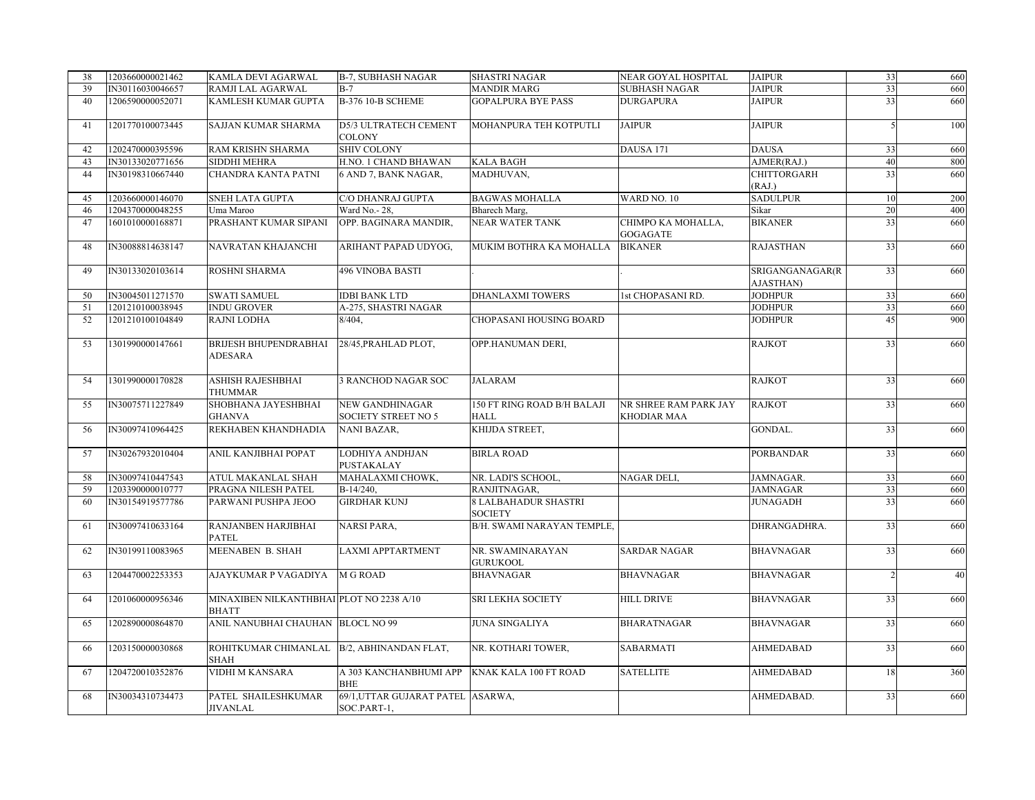| 38 | 1203660000021462 | KAMLA DEVI AGARWAL                                        | <b>B-7, SUBHASH NAGAR</b>                            | <b>SHASTRI NAGAR</b>                              | NEAR GOYAL HOSPITAL                         | <b>JAIPUR</b>                | 33 | 660 |
|----|------------------|-----------------------------------------------------------|------------------------------------------------------|---------------------------------------------------|---------------------------------------------|------------------------------|----|-----|
| 39 | IN30116030046657 | RAMJI LAL AGARWAL                                         | $B-7$                                                | <b>MANDIR MARG</b>                                | <b>SUBHASH NAGAR</b>                        | <b>JAIPUR</b>                | 33 | 660 |
| 40 | 1206590000052071 | KAMLESH KUMAR GUPTA                                       | <b>B-376 10-B SCHEME</b>                             | <b>GOPALPURA BYE PASS</b>                         | <b>DURGAPURA</b>                            | <b>JAIPUR</b>                | 33 | 660 |
| 41 | 1201770100073445 | SAJJAN KUMAR SHARMA                                       | D5/3 ULTRATECH CEMENT<br><b>COLONY</b>               | MOHANPURA TEH KOTPUTLI                            | <b>JAIPUR</b>                               | <b>JAIPUR</b>                |    | 100 |
| 42 | 1202470000395596 | RAM KRISHN SHARMA                                         | <b>SHIV COLONY</b>                                   |                                                   | DAUSA 171                                   | <b>DAUSA</b>                 | 33 | 660 |
| 43 | IN30133020771656 | SIDDHI MEHRA                                              | H.NO. 1 CHAND BHAWAN                                 | <b>KALA BAGH</b>                                  |                                             | AJMER(RAJ.)                  | 40 | 800 |
| 44 | IN30198310667440 | CHANDRA KANTA PATNI                                       | 6 AND 7, BANK NAGAR,                                 | MADHUVAN,                                         |                                             | CHITTORGARH<br>(RAJ.)        | 33 | 660 |
| 45 | 1203660000146070 | SNEH LATA GUPTA                                           | C/O DHANRAJ GUPTA                                    | <b>BAGWAS MOHALLA</b>                             | WARD NO. 10                                 | SADULPUR                     | 10 | 200 |
| 46 | 1204370000048255 | Uma Maroo                                                 | Ward No.- 28,                                        | Bharech Marg.                                     |                                             | Sikar                        | 20 | 400 |
| 47 | 1601010000168871 | PRASHANT KUMAR SIPANI                                     | OPP. BAGINARA MANDIR,                                | <b>NEAR WATER TANK</b>                            | CHIMPO KA MOHALLA,<br>GOGAGATE              | <b>BIKANER</b>               | 33 | 660 |
| 48 | IN30088814638147 | NAVRATAN KHAJANCHI                                        | ARIHANT PAPAD UDYOG,                                 | MUKIM BOTHRA KA MOHALLA                           | <b>BIKANER</b>                              | <b>RAJASTHAN</b>             | 33 | 660 |
| 49 | IN30133020103614 | ROSHNI SHARMA                                             | <b>496 VINOBA BASTI</b>                              |                                                   |                                             | SRIGANGANAGAR(R<br>AJASTHAN) | 33 | 660 |
| 50 | IN30045011271570 | <b>SWATI SAMUEL</b>                                       | <b>IDBI BANK LTD</b>                                 | <b>DHANLAXMI TOWERS</b>                           | 1st CHOPASANI RD.                           | <b>JODHPUR</b>               | 33 | 660 |
| 51 | 1201210100038945 | INDU GROVER                                               | A-275, SHASTRI NAGAR                                 |                                                   |                                             | <b>JODHPUR</b>               | 33 | 660 |
| 52 | 1201210100104849 | RAJNI LODHA                                               | 8/404.                                               | CHOPASANI HOUSING BOARD                           |                                             | <b>JODHPUR</b>               | 45 | 900 |
| 53 | 1301990000147661 | BRIJESH BHUPENDRABHAI<br>ADESARA                          | 28/45, PRAHLAD PLOT,                                 | OPP.HANUMAN DERI,                                 |                                             | <b>RAJKOT</b>                | 33 | 660 |
| 54 | 1301990000170828 | ASHISH RAJESHBHAI<br>THUMMAR                              | <b>B RANCHOD NAGAR SOC</b>                           | <b>JALARAM</b>                                    |                                             | <b>RAJKOT</b>                | 33 | 660 |
| 55 | IN30075711227849 | SHOBHANA JAYESHBHAI<br><b>GHANVA</b>                      | <b>NEW GANDHINAGAR</b><br><b>SOCIETY STREET NO 5</b> | <b>150 FT RING ROAD B/H BALAJI</b><br><b>HALL</b> | NR SHREE RAM PARK JAY<br><b>KHODIAR MAA</b> | <b>RAJKOT</b>                | 33 | 660 |
| 56 | IN30097410964425 | REKHABEN KHANDHADIA                                       | <b>NANI BAZAR,</b>                                   | KHIJDA STREET,                                    |                                             | <b>GONDAL.</b>               | 33 | 660 |
| 57 | IN30267932010404 | ANIL KANJIBHAI POPAT                                      | LODHIYA ANDHJAN<br>PUSTAKALAY                        | <b>BIRLA ROAD</b>                                 |                                             | <b>PORBANDAR</b>             | 33 | 660 |
| 58 | IN30097410447543 | ATUL MAKANLAL SHAH                                        | MAHALAXMI CHOWK,                                     | NR. LADI'S SCHOOL.                                | <b>NAGAR DELI</b>                           | JAMNAGAR.                    | 33 | 660 |
| 59 | 1203390000010777 | PRAGNA NILESH PATEL                                       | B-14/240,                                            | RANJITNAGAR,                                      |                                             | <b>JAMNAGAR</b>              | 33 | 660 |
| 60 | IN30154919577786 | PARWANI PUSHPA JEOO                                       | <b>GIRDHAR KUNJ</b>                                  | <b>8 LALBAHADUR SHASTRI</b><br><b>SOCIETY</b>     |                                             | <b>JUNAGADH</b>              | 33 | 660 |
| 61 | IN30097410633164 | RANJANBEN HARJIBHAI<br><b>PATEL</b>                       | NARSI PARA,                                          | B/H. SWAMI NARAYAN TEMPLE,                        |                                             | DHRANGADHRA.                 | 33 | 660 |
| 62 | IN30199110083965 | MEENABEN B. SHAH                                          | <b>LAXMI APPTARTMENT</b>                             | NR. SWAMINARAYAN<br><b>GURUKOOL</b>               | <b>SARDAR NAGAR</b>                         | <b>BHAVNAGAR</b>             | 33 | 660 |
| 63 | 1204470002253353 | AJAYKUMAR P VAGADIYA                                      | <b>M G ROAD</b>                                      | <b>BHAVNAGAR</b>                                  | <b>BHAVNAGAR</b>                            | <b>BHAVNAGAR</b>             |    | 40  |
| 64 | 1201060000956346 | MINAXIBEN NILKANTHBHAI PLOT NO 2238 A/10<br><b>BHATT</b>  |                                                      | SRI LEKHA SOCIETY                                 | <b>HILL DRIVE</b>                           | <b>BHAVNAGAR</b>             | 33 | 660 |
| 65 | 1202890000864870 | ANIL NANUBHAI CHAUHAN BLOCL NO 99                         |                                                      | <b>JUNA SINGALIYA</b>                             | <b>BHARATNAGAR</b>                          | <b>BHAVNAGAR</b>             | 33 | 660 |
| 66 | 1203150000030868 | ROHITKUMAR CHIMANLAL B/2, ABHINANDAN FLAT,<br><b>SHAH</b> |                                                      | NR. KOTHARI TOWER,                                | <b>SABARMATI</b>                            | <b>AHMEDABAD</b>             | 33 | 660 |
| 67 | 1204720010352876 | VIDHI M KANSARA                                           | A 303 KANCHANBHUMI APP<br><b>BHE</b>                 | KNAK KALA 100 FT ROAD                             | <b>SATELLITE</b>                            | <b>AHMEDABAD</b>             | 18 | 360 |
| 68 | IN30034310734473 | PATEL SHAILESHKUMAR<br><b>JIVANLAL</b>                    | 69/1, UTTAR GUJARAT PATEL ASARWA,<br>SOC.PART-1,     |                                                   |                                             | AHMEDABAD.                   | 33 | 660 |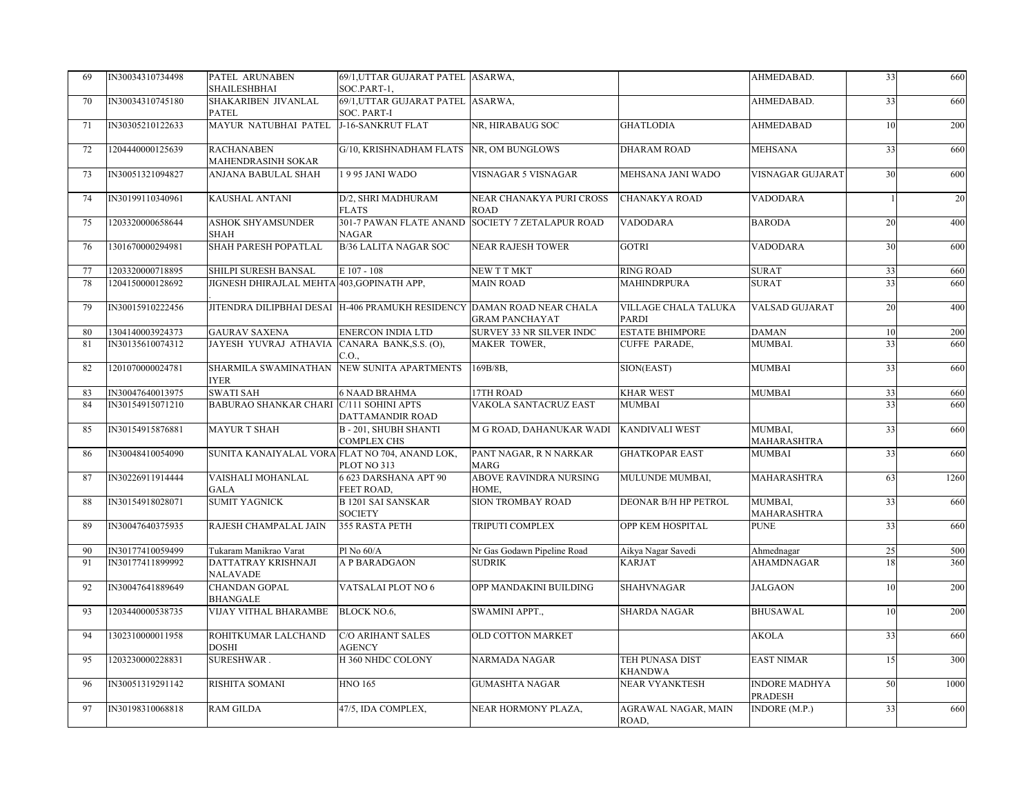| 69 | IN30034310734498 | PATEL ARUNABEN<br>SHAILESHBHAI                 | 69/1, UTTAR GUJARAT PATEL ASARWA,<br>SOC.PART-1,                       |                                         |                                      | AHMEDABAD.                      | 33 | 660  |
|----|------------------|------------------------------------------------|------------------------------------------------------------------------|-----------------------------------------|--------------------------------------|---------------------------------|----|------|
| 70 | IN30034310745180 | SHAKARIBEN JIVANLAL<br><b>PATEL</b>            | 69/1, UTTAR GUJARAT PATEL ASARWA,<br><b>SOC. PART-I</b>                |                                         |                                      | AHMEDABAD.                      | 33 | 660  |
| 71 | IN30305210122633 | MAYUR NATUBHAI PATEL                           | J-16-SANKRUT FLAT                                                      | NR, HIRABAUG SOC                        | <b>GHATLODIA</b>                     | <b>AHMEDABAD</b>                | 10 | 200  |
| 72 | 1204440000125639 | <b>RACHANABEN</b><br>MAHENDRASINH SOKAR        | G/10, KRISHNADHAM FLATS NR, OM BUNGLOWS                                |                                         | DHARAM ROAD                          | MEHSANA                         | 33 | 660  |
| 73 | IN30051321094827 | ANJANA BABULAL SHAH                            | 1995 JANI WADO                                                         | VISNAGAR 5 VISNAGAR                     | MEHSANA JANI WADO                    | VISNAGAR GUJARAT                | 30 | 600  |
| 74 | IN30199110340961 | KAUSHAL ANTANI                                 | D/2, SHRI MADHURAM<br><b>FLATS</b>                                     | NEAR CHANAKYA PURI CROSS<br><b>ROAD</b> | <b>CHANAKYA ROAD</b>                 | VADODARA                        | 1  | 20   |
| 75 | 1203320000658644 | <b>ASHOK SHYAMSUNDER</b><br><b>SHAH</b>        | 301-7 PAWAN FLATE ANAND<br><b>NAGAR</b>                                | <b>SOCIETY 7 ZETALAPUR ROAD</b>         | VADODARA                             | <b>BARODA</b>                   | 20 | 400  |
| 76 | 1301670000294981 | SHAH PARESH POPATLAL                           | <b>B/36 LALITA NAGAR SOC</b>                                           | <b>NEAR RAJESH TOWER</b>                | <b>GOTRI</b>                         | VADODARA                        | 30 | 600  |
| 77 | 1203320000718895 | SHILPI SURESH BANSAL                           | E 107 - 108                                                            | NEW T T MKT                             | <b>RING ROAD</b>                     | <b>SURAT</b>                    | 33 | 660  |
| 78 | 1204150000128692 | JIGNESH DHIRAJLAL MEHTA 403, GOPINATH APP,     |                                                                        | <b>MAIN ROAD</b>                        | <b>MAHINDRPURA</b>                   | <b>SURAT</b>                    | 33 | 660  |
| 79 | IN30015910222456 |                                                | JITENDRA DILIPBHAI DESAI H-406 PRAMUKH RESIDENCY DAMAN ROAD NEAR CHALA | <b>GRAM PANCHAYAT</b>                   | VILLAGE CHALA TALUKA<br><b>PARDI</b> | VALSAD GUJARAT                  | 20 | 400  |
| 80 | 1304140003924373 | <b>GAURAV SAXENA</b>                           | <b>ENERCON INDIA LTD</b>                                               | SURVEY 33 NR SILVER INDC                | <b>ESTATE BHIMPORE</b>               | <b>DAMAN</b>                    | 10 | 200  |
| 81 | IN30135610074312 | JAYESH YUVRAJ ATHAVIA                          | CANARA BANK, S.S. (O),<br>C.O.,                                        | MAKER TOWER,                            | CUFFE PARADE,                        | MUMBAI.                         | 33 | 660  |
| 82 | 1201070000024781 | SHARMILA SWAMINATHAN<br><b>IYER</b>            | NEW SUNITA APARTMENTS                                                  | 169B/8B,                                | SION(EAST)                           | MUMBAI                          | 33 | 660  |
| 83 | IN30047640013975 | <b>SWATI SAH</b>                               | <b>6 NAAD BRAHMA</b>                                                   | 17TH ROAD                               | <b>KHAR WEST</b>                     | <b>MUMBAI</b>                   | 33 | 660  |
| 84 | IN30154915071210 | BABURAO SHANKAR CHARI C/111 SOHINI APTS        | DATTAMANDIR ROAD                                                       | VAKOLA SANTACRUZ EAST                   | <b>MUMBAI</b>                        |                                 | 33 | 660  |
| 85 | IN30154915876881 | <b>MAYUR T SHAH</b>                            | <b>B-201, SHUBH SHANTI</b><br><b>COMPLEX CHS</b>                       | M G ROAD, DAHANUKAR WADI                | <b>KANDIVALI WEST</b>                | MUMBAI,<br>MAHARASHTRA          | 33 | 660  |
| 86 | IN30048410054090 | SUNITA KANAIYALAL VORA FLAT NO 704, ANAND LOK, | PLOT NO 313                                                            | PANT NAGAR, R N NARKAR<br><b>MARG</b>   | <b>GHATKOPAR EAST</b>                | MUMBAI                          | 33 | 660  |
| 87 | IN30226911914444 | VAISHALI MOHANLAL<br>GALA                      | 6 623 DARSHANA APT 90<br>FEET ROAD,                                    | ABOVE RAVINDRA NURSING<br>HOME,         | MULUNDE MUMBAI,                      | MAHARASHTRA                     | 63 | 1260 |
| 88 | IN30154918028071 | <b>SUMIT YAGNICK</b>                           | <b>B1201 SAI SANSKAR</b><br><b>SOCIETY</b>                             | <b>SION TROMBAY ROAD</b>                | <b>DEONAR B/H HP PETROL</b>          | MUMBAI.<br>MAHARASHTRA          | 33 | 660  |
| 89 | IN30047640375935 | RAJESH CHAMPALAL JAIN                          | 355 RASTA PETH                                                         | TRIPUTI COMPLEX                         | OPP KEM HOSPITAL                     | <b>PUNE</b>                     | 33 | 660  |
| 90 | IN30177410059499 | Tukaram Manikrao Varat                         | Pl No 60/A                                                             | Nr Gas Godawn Pipeline Road             | Aikya Nagar Savedi                   | Ahmednagar                      | 25 | 500  |
| 91 | IN30177411899992 | DATTATRAY KRISHNAJI<br><b>NALAVADE</b>         | A P BARADGAON                                                          | <b>SUDRIK</b>                           | <b>KARJAT</b>                        | AHAMDNAGAR                      | 18 | 360  |
| 92 | IN30047641889649 | CHANDAN GOPAL<br><b>BHANGALE</b>               | VATSALAI PLOT NO 6                                                     | OPP MANDAKINI BUILDING                  | <b>SHAHVNAGAR</b>                    | <b>JALGAON</b>                  | 10 | 200  |
| 93 | 1203440000538735 | VIJAY VITHAL BHARAMBE                          | BLOCK NO.6,                                                            | SWAMINI APPT.,                          | <b>SHARDA NAGAR</b>                  | <b>BHUSAWAL</b>                 | 10 | 200  |
| 94 | 1302310000011958 | ROHITKUMAR LALCHAND<br><b>DOSHI</b>            | <b>C/O ARIHANT SALES</b><br>AGENCY                                     | <b>OLD COTTON MARKET</b>                |                                      | <b>AKOLA</b>                    | 33 | 660  |
| 95 | 1203230000228831 | SURESHWAR.                                     | H 360 NHDC COLONY                                                      | <b>NARMADA NAGAR</b>                    | TEH PUNASA DIST<br><b>KHANDWA</b>    | <b>EAST NIMAR</b>               | 15 | 300  |
| 96 | IN30051319291142 | RISHITA SOMANI                                 | <b>HNO 165</b>                                                         | <b>GUMASHTA NAGAR</b>                   | <b>NEAR VYANKTESH</b>                | <b>INDORE MADHYA</b><br>PRADESH | 50 | 1000 |
| 97 | IN30198310068818 | RAM GILDA                                      | 47/5, IDA COMPLEX,                                                     | NEAR HORMONY PLAZA,                     | AGRAWAL NAGAR, MAIN<br>ROAD,         | INDORE (M.P.)                   | 33 | 660  |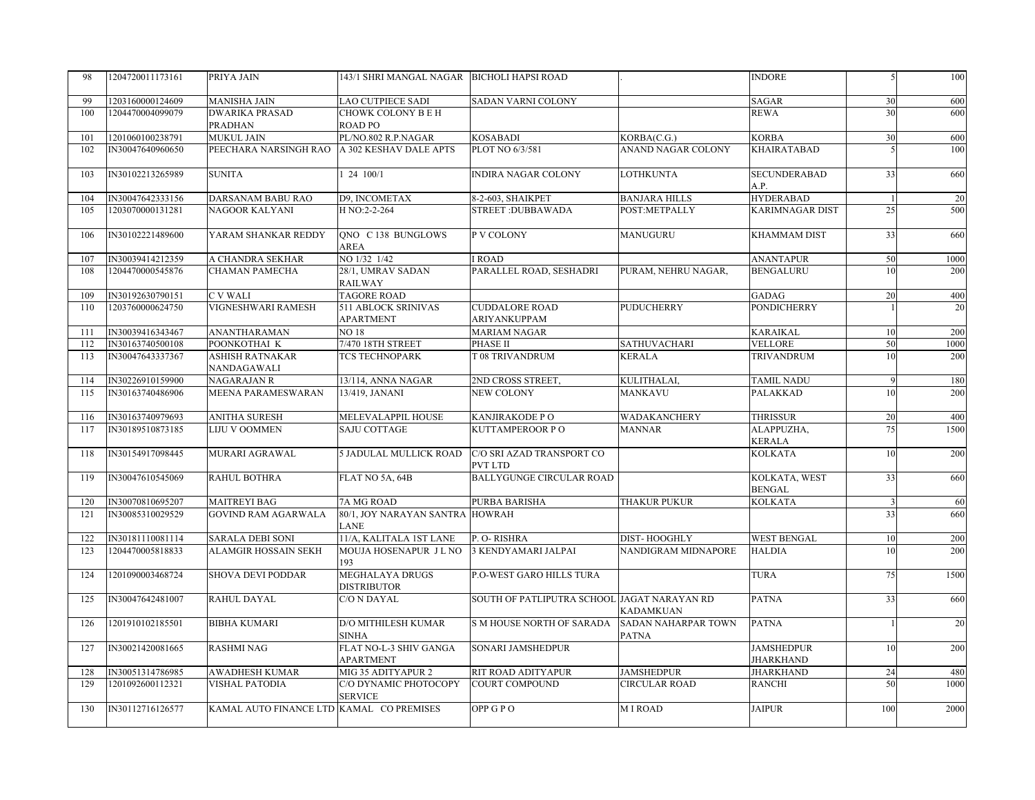| 98  | 1204720011173161 | PRIYA JAIN                               | 143/1 SHRI MANGAL NAGAR BICHOLI HAPSI ROAD |                                             |                                     | INDORE                         | 5                       | 100  |
|-----|------------------|------------------------------------------|--------------------------------------------|---------------------------------------------|-------------------------------------|--------------------------------|-------------------------|------|
| 99  | 1203160000124609 | <b>MANISHA JAIN</b>                      | LAO CUTPIECE SADI                          | SADAN VARNI COLONY                          |                                     | <b>SAGAR</b>                   | 30                      | 600  |
| 100 | 1204470004099079 | <b>DWARIKA PRASAD</b><br><b>PRADHAN</b>  | CHOWK COLONY B E H<br>ROAD PO              |                                             |                                     | REWA                           | 30                      | 600  |
| 101 | 1201060100238791 | <b>MUKUL JAIN</b>                        | PL/NO.802 R.P.NAGAR                        | KOSABADI                                    | KORBA(C.G.)                         | <b>KORBA</b>                   | 30                      | 600  |
| 102 | IN30047640960650 | PEECHARA NARSINGH RAO                    | A 302 KESHAV DALE APTS                     | PLOT NO 6/3/581                             | <b>ANAND NAGAR COLONY</b>           | KHAIRATABAD                    | .5                      | 100  |
| 103 | IN30102213265989 | <b>SUNITA</b>                            | 124100/1                                   | INDIRA NAGAR COLONY                         | <b>LOTHKUNTA</b>                    | SECUNDERABAD<br>A.P.           | 33                      | 660  |
| 104 | IN30047642333156 | <b>DARSANAM BABU RAO</b>                 | D9, INCOMETAX                              | 8-2-603, SHAIKPET                           | <b>BANJARA HILLS</b>                | <b>HYDERABAD</b>               | $\overline{1}$          | 20   |
| 105 | 1203070000131281 | <b>NAGOOR KALYANI</b>                    | H NO:2-2-264                               | <b>STREET: DUBBAWADA</b>                    | POST:METPALLY                       | KARIMNAGAR DIST                | 25                      | 500  |
| 106 | IN30102221489600 | YARAM SHANKAR REDDY                      | ONO C138 BUNGLOWS<br>AREA                  | P V COLONY                                  | <b>MANUGURU</b>                     | <b>KHAMMAM DIST</b>            | 33                      | 660  |
| 107 | IN30039414212359 | A CHANDRA SEKHAR                         | NO 1/32 1/42                               | I ROAD                                      |                                     | <b>ANANTAPUR</b>               | 50                      | 1000 |
| 108 | 1204470000545876 | CHAMAN PAMECHA                           | 28/1, UMRAV SADAN<br><b>RAILWAY</b>        | PARALLEL ROAD, SESHADRI                     | PURAM, NEHRU NAGAR,                 | <b>BENGALURU</b>               | 10                      | 200  |
| 109 | IN30192630790151 | <b>CVWALI</b>                            | <b>TAGORE ROAD</b>                         |                                             |                                     | <b>GADAG</b>                   | 20                      | 400  |
| 110 | 1203760000624750 | VIGNESHWARI RAMESH                       | 511 ABLOCK SRINIVAS<br><b>APARTMENT</b>    | <b>CUDDALORE ROAD</b><br>ARIYANKUPPAM       | <b>PUDUCHERRY</b>                   | PONDICHERRY                    |                         | 20   |
| 111 | IN30039416343467 | <b>ANANTHARAMAN</b>                      | <b>NO 18</b>                               | <b>MARIAM NAGAR</b>                         |                                     | <b>KARAIKAL</b>                | 10                      | 200  |
| 112 | IN30163740500108 | POONKOTHAI K                             | 7/470 18TH STREET                          | PHASE II                                    | <b>SATHUVACHARI</b>                 | <b>VELLORE</b>                 | 50                      | 1000 |
| 113 | IN30047643337367 | <b>ASHISH RATNAKAR</b><br>NANDAGAWALI    | <b>TCS TECHNOPARK</b>                      | T 08 TRIVANDRUM                             | <b>KERALA</b>                       | <b>TRIVANDRUM</b>              | 10                      | 200  |
| 114 | IN30226910159900 | <b>NAGARAJAN R</b>                       | 13/114, ANNA NAGAR                         | 2ND CROSS STREET.                           | KULITHALAI.                         | <b>TAMIL NADU</b>              | 9                       | 180  |
| 115 | IN30163740486906 | MEENA PARAMESWARAN                       | 13/419, JANANI                             | NEW COLONY                                  | <b>MANKAVU</b>                      | PALAKKAD                       | 10                      | 200  |
| 116 | IN30163740979693 | <b>ANITHA SURESH</b>                     | MELEVALAPPIL HOUSE                         | KANJIRAKODE P O                             | WADAKANCHERY                        | <b>THRISSUR</b>                | 20                      | 400  |
| 117 | IN30189510873185 | <b>LIJU V OOMMEN</b>                     | SAJU COTTAGE                               | KUTTAMPEROOR PO                             | <b>MANNAR</b>                       | ALAPPUZHA,<br><b>KERALA</b>    | 75                      | 1500 |
| 118 | IN30154917098445 | MURARI AGRAWAL                           | 5 JADULAL MULLICK ROAD                     | C/O SRI AZAD TRANSPORT CO<br><b>PVT LTD</b> |                                     | <b>KOLKATA</b>                 | 10                      | 200  |
| 119 | IN30047610545069 | <b>RAHUL BOTHRA</b>                      | FLAT NO 5A, 64B                            | <b>BALLYGUNGE CIRCULAR ROAD</b>             |                                     | KOLKATA, WEST<br><b>BENGAL</b> | 33                      | 660  |
| 120 | IN30070810695207 | <b>MAITREYI BAG</b>                      | 7A MG ROAD                                 | PURBA BARISHA                               | THAKUR PUKUR                        | KOLKATA                        | $\overline{\mathbf{3}}$ | 60   |
| 121 | IN30085310029529 | <b>GOVIND RAM AGARWALA</b>               | 80/1, JOY NARAYAN SANTRA<br>LANE           | <b>HOWRAH</b>                               |                                     |                                | 33                      | 660  |
| 122 | IN30181110081114 | <b>SARALA DEBI SONI</b>                  | 11/A, KALITALA 1ST LANE                    | P. O-RISHRA                                 | DIST-HOOGHLY                        | <b>WEST BENGAL</b>             | 10                      | 200  |
| 123 | 1204470005818833 | <b>ALAMGIR HOSSAIN SEKH</b>              | MOUJA HOSENAPUR J L NO<br>193              | 3 KENDYAMARI JALPAI                         | NANDIGRAM MIDNAPORE                 | <b>HALDIA</b>                  | 10                      | 200  |
| 124 | 1201090003468724 | <b>SHOVA DEVI PODDAR</b>                 | MEGHALAYA DRUGS<br><b>DISTRIBUTOR</b>      | P.O-WEST GARO HILLS TURA                    |                                     | <b>TURA</b>                    | 75                      | 1500 |
| 125 | IN30047642481007 | RAHUL DAYAL                              | C/O N DAYAL                                | SOUTH OF PATLIPUTRA SCHOOL JAGAT NARAYAN RD | <b>KADAMKUAN</b>                    | <b>PATNA</b>                   | 33                      | 660  |
| 126 | 1201910102185501 | <b>BIBHA KUMARI</b>                      | <b>D/O MITHILESH KUMAR</b><br><b>SINHA</b> | S M HOUSE NORTH OF SARADA                   | SADAN NAHARPAR TOWN<br><b>PATNA</b> | <b>PATNA</b>                   |                         | 20   |
| 127 | IN30021420081665 | <b>RASHMI NAG</b>                        | FLAT NO-L-3 SHIV GANGA<br>APARTMENT        | SONARI JAMSHEDPUR                           |                                     | <b>JAMSHEDPUR</b><br>JHARKHAND | 10                      | 200  |
| 128 | IN30051314786985 | <b>AWADHESH KUMAR</b>                    | MIG 35 ADITYAPUR 2                         | RIT ROAD ADITYAPUR                          | <b>JAMSHEDPUR</b>                   | JHARKHAND                      | 24                      | 480  |
| 129 | 1201092600112321 | <b>VISHAL PATODIA</b>                    | C/O DYNAMIC PHOTOCOPY<br><b>SERVICE</b>    | <b>COURT COMPOUND</b>                       | <b>CIRCULAR ROAD</b>                | <b>RANCHI</b>                  | 50                      | 1000 |
| 130 | IN30112716126577 | KAMAL AUTO FINANCE LTD KAMAL CO PREMISES |                                            | OPP GPO                                     | <b>MIROAD</b>                       | JAIPUR                         | 100                     | 2000 |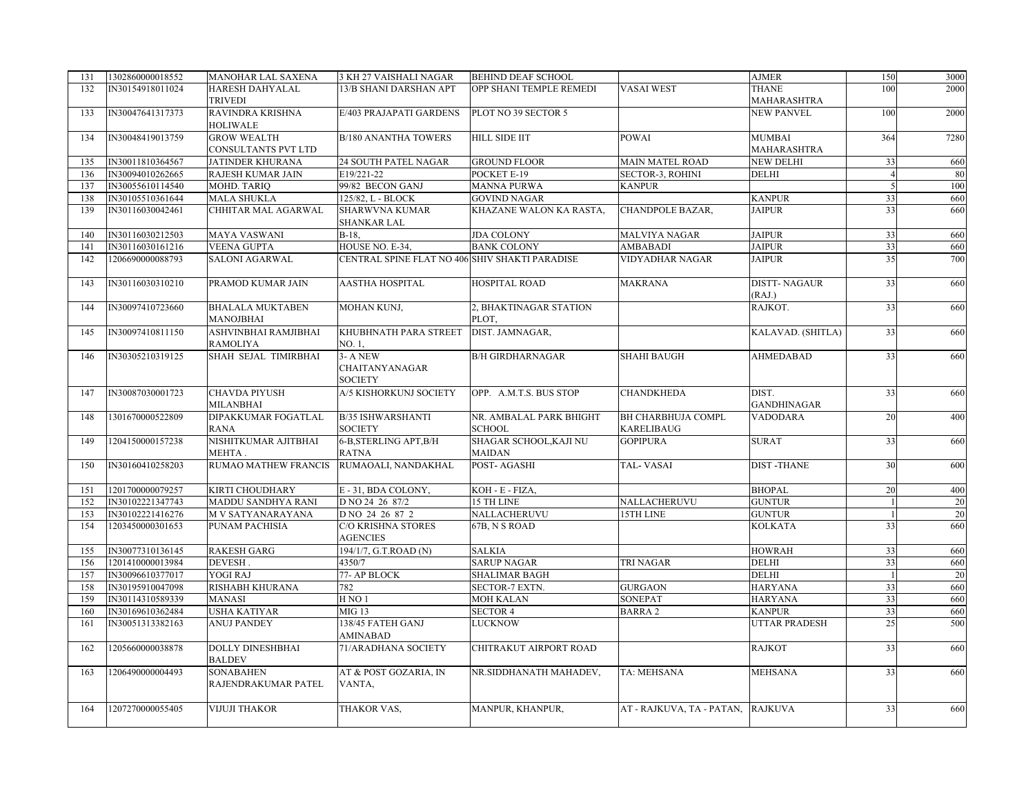| 131 | 1302860000018552 | MANOHAR LAL SAXENA       | 3 KH 27 VAISHALI NAGAR                         | <b>BEHIND DEAF SCHOOL</b> |                                   | <b>AJMER</b>         | 150            | 3000 |
|-----|------------------|--------------------------|------------------------------------------------|---------------------------|-----------------------------------|----------------------|----------------|------|
| 132 | IN30154918011024 | <b>HARESH DAHYALAL</b>   | 13/B SHANI DARSHAN APT                         | OPP SHANI TEMPLE REMEDI   | VASAI WEST                        | THANE                | 100            | 2000 |
|     |                  | <b>TRIVEDI</b>           |                                                |                           |                                   | MAHARASHTRA          |                |      |
| 133 | IN30047641317373 | RAVINDRA KRISHNA         | E/403 PRAJAPATI GARDENS                        | PLOT NO 39 SECTOR 5       |                                   | <b>NEW PANVEL</b>    | 100            | 2000 |
|     |                  | <b>HOLIWALE</b>          |                                                |                           |                                   |                      |                |      |
| 134 | IN30048419013759 | <b>GROW WEALTH</b>       | <b>B/180 ANANTHA TOWERS</b>                    | <b>HILL SIDE IIT</b>      | <b>POWAI</b>                      | <b>MUMBAI</b>        | 364            | 7280 |
|     |                  | CONSULTANTS PVT LTD      |                                                |                           |                                   | MAHARASHTRA          |                |      |
| 135 | IN30011810364567 | <b>JATINDER KHURANA</b>  | 24 SOUTH PATEL NAGAR                           | <b>GROUND FLOOR</b>       | <b>MAIN MATEL ROAD</b>            | <b>NEW DELHI</b>     | 33             | 660  |
| 136 | IN30094010262665 | RAJESH KUMAR JAIN        | E19/221-22                                     | POCKET E-19               | <b>SECTOR-3, ROHINI</b>           | <b>DELHI</b>         |                | 80   |
| 137 | IN30055610114540 | MOHD. TARIO              | 99/82 BECON GANJ                               | <b>MANNA PURWA</b>        | <b>KANPUR</b>                     |                      | $\overline{5}$ | 100  |
| 138 | IN30105510361644 | <b>MALA SHUKLA</b>       | 125/82, L - BLOCK                              | <b>GOVIND NAGAR</b>       |                                   | <b>KANPUR</b>        | 33             | 660  |
| 139 | IN30116030042461 | CHHITAR MAL AGARWAL      | <b>SHARWVNA KUMAR</b>                          | KHAZANE WALON KA RASTA,   | CHANDPOLE BAZAR.                  | <b>JAIPUR</b>        | 33             | 660  |
|     |                  |                          | <b>SHANKAR LAL</b>                             |                           |                                   |                      |                |      |
| 140 | IN30116030212503 | <b>MAYA VASWANI</b>      | $B-18$ ,                                       | <b>JDA COLONY</b>         | MALVIYA NAGAR                     | <b>JAIPUR</b>        | 33             | 660  |
| 141 | IN30116030161216 | <b>VEENA GUPTA</b>       | HOUSE NO. E-34,                                | <b>BANK COLONY</b>        | AMBABADI                          | <b>JAIPUR</b>        | 33             | 660  |
| 142 | 1206690000088793 | <b>SALONI AGARWAL</b>    | CENTRAL SPINE FLAT NO 406 SHIV SHAKTI PARADISE |                           | VIDYADHAR NAGAR                   | <b>JAIPUR</b>        | 35             | 700  |
|     |                  |                          |                                                |                           |                                   |                      |                |      |
| 143 | IN30116030310210 | PRAMOD KUMAR JAIN        | <b>AASTHA HOSPITAL</b>                         | HOSPITAL ROAD             | <b>MAKRANA</b>                    | <b>DISTT-NAGAUR</b>  | 33             | 660  |
|     |                  |                          |                                                |                           |                                   | (RAJ.)               |                |      |
| 144 | IN30097410723660 | <b>BHALALA MUKTABEN</b>  | MOHAN KUNJ,                                    | 2, BHAKTINAGAR STATION    |                                   | RAJKOT.              | 33             | 660  |
|     |                  | <b>MANOJBHAI</b>         |                                                | PLOT.                     |                                   |                      |                |      |
| 145 | IN30097410811150 | ASHVINBHAI RAMJIBHAI     | KHUBHNATH PARA STREET                          | DIST. JAMNAGAR,           |                                   | KALAVAD. (SHITLA)    | 33             | 660  |
|     |                  | <b>RAMOLIYA</b>          | NO. 1,                                         |                           |                                   |                      |                |      |
| 146 | IN30305210319125 | SHAH SEJAL TIMIRBHAI     | $3 - A NEW$                                    | <b>B/H GIRDHARNAGAR</b>   | <b>SHAHI BAUGH</b>                | AHMEDABAD            | 33             | 660  |
|     |                  |                          | <b>CHAITANYANAGAR</b>                          |                           |                                   |                      |                |      |
|     |                  |                          | <b>SOCIETY</b>                                 |                           |                                   |                      |                |      |
| 147 | IN30087030001723 | <b>CHAVDA PIYUSH</b>     | A/5 KISHORKUNJ SOCIETY                         | OPP. A.M.T.S. BUS STOP    | <b>CHANDKHEDA</b>                 | DIST.                | 33             | 660  |
|     |                  | <b>MILANBHAI</b>         |                                                |                           |                                   | <b>GANDHINAGAR</b>   |                |      |
| 148 | 1301670000522809 | DIPAKKUMAR FOGATLAL      | <b>B/35 ISHWARSHANTI</b>                       | NR. AMBALAL PARK BHIGHT   | BH CHARBHUJA COMPL                | <b>VADODARA</b>      | 20             | 400  |
|     |                  | <b>RANA</b>              | <b>SOCIETY</b>                                 | <b>SCHOOL</b>             | <b>KARELIBAUG</b>                 |                      |                |      |
| 149 | 1204150000157238 | NISHITKUMAR AJITBHAI     | 6-B, STERLING APT, B/H                         | SHAGAR SCHOOL,KAJI NU     | <b>GOPIPURA</b>                   | <b>SURAT</b>         | 33             | 660  |
|     |                  | MEHTA.                   | RATNA                                          | MAIDAN                    |                                   |                      |                |      |
| 150 | IN30160410258203 | RUMAO MATHEW FRANCIS     | RUMAOALI, NANDAKHAL                            | POST- AGASHI              | TAL-VASAI                         | <b>DIST-THANE</b>    | 30             | 600  |
|     |                  |                          |                                                |                           |                                   |                      |                |      |
| 151 | 1201700000079257 | <b>KIRTI CHOUDHARY</b>   | E - 31, BDA COLONY,                            | KOH - E - FIZA,           |                                   | <b>BHOPAL</b>        | 20             | 400  |
| 152 | IN30102221347743 | MADDU SANDHYA RANI       | D NO 24 26 87/2                                | 15 TH LINE                | NALLACHERUVU                      | <b>GUNTUR</b>        | $\vert$ 1      | 20   |
| 153 | IN30102221416276 | <b>M V SATYANARAYANA</b> | D NO 24 26 87 2                                | NALLACHERUVU              | 15TH LINE                         | <b>GUNTUR</b>        | $\overline{1}$ | 20   |
| 154 | 1203450000301653 | <b>PUNAM PACHISIA</b>    | C/O KRISHNA STORES                             | 67B, N S ROAD             |                                   | <b>KOLKATA</b>       | 33             | 660  |
|     |                  |                          | <b>AGENCIES</b>                                |                           |                                   |                      |                |      |
| 155 | IN30077310136145 | <b>RAKESH GARG</b>       | 194/1/7, G.T.ROAD (N)                          | <b>SALKIA</b>             |                                   | <b>HOWRAH</b>        | 33             | 660  |
| 156 | 1201410000013984 | DEVESH.                  | 4350/7                                         | <b>SARUP NAGAR</b>        | TRI NAGAR                         | <b>DELHI</b>         | 33             | 660  |
| 157 | IN30096610377017 | YOGI RAJ                 | 77- AP BLOCK                                   | SHALIMAR BAGH             |                                   | <b>DELHI</b>         | $\mathbf{1}$   | 20   |
| 158 | IN30195910047098 | RISHABH KHURANA          | 782                                            | SECTOR-7 EXTN.            | <b>GURGAON</b>                    | <b>HARYANA</b>       | 33             | 660  |
| 159 | IN30114310589339 | <b>MANASI</b>            | H NO 1                                         | MOH KALAN                 | <b>SONEPAT</b>                    | <b>HARYANA</b>       | 33             | 660  |
| 160 | IN30169610362484 | <b>USHA KATIYAR</b>      | MIG 13                                         | <b>SECTOR 4</b>           | <b>BARRA2</b>                     | <b>KANPUR</b>        | 33             | 660  |
| 161 | IN30051313382163 | <b>ANUJ PANDEY</b>       | 138/45 FATEH GANJ                              | LUCKNOW                   |                                   | <b>UTTAR PRADESH</b> | 25             | 500  |
|     |                  |                          | <b>AMINABAD</b>                                |                           |                                   |                      |                |      |
| 162 | 1205660000038878 | <b>DOLLY DINESHBHAI</b>  | 71/ARADHANA SOCIETY                            | CHITRAKUT AIRPORT ROAD    |                                   | <b>RAJKOT</b>        | 33             | 660  |
|     |                  | <b>BALDEV</b>            |                                                |                           |                                   |                      |                |      |
| 163 | 1206490000004493 | <b>SONABAHEN</b>         | AT & POST GOZARIA, IN                          | NR.SIDDHANATH MAHADEV,    | TA: MEHSANA                       | <b>MEHSANA</b>       | 33             | 660  |
|     |                  | RAJENDRAKUMAR PATEL      | VANTA,                                         |                           |                                   |                      |                |      |
|     |                  |                          |                                                |                           |                                   |                      |                |      |
| 164 | 1207270000055405 | <b>VIJUJI THAKOR</b>     | THAKOR VAS,                                    | MANPUR, KHANPUR,          | AT - RAJKUVA, TA - PATAN, RAJKUVA |                      | 33             | 660  |
|     |                  |                          |                                                |                           |                                   |                      |                |      |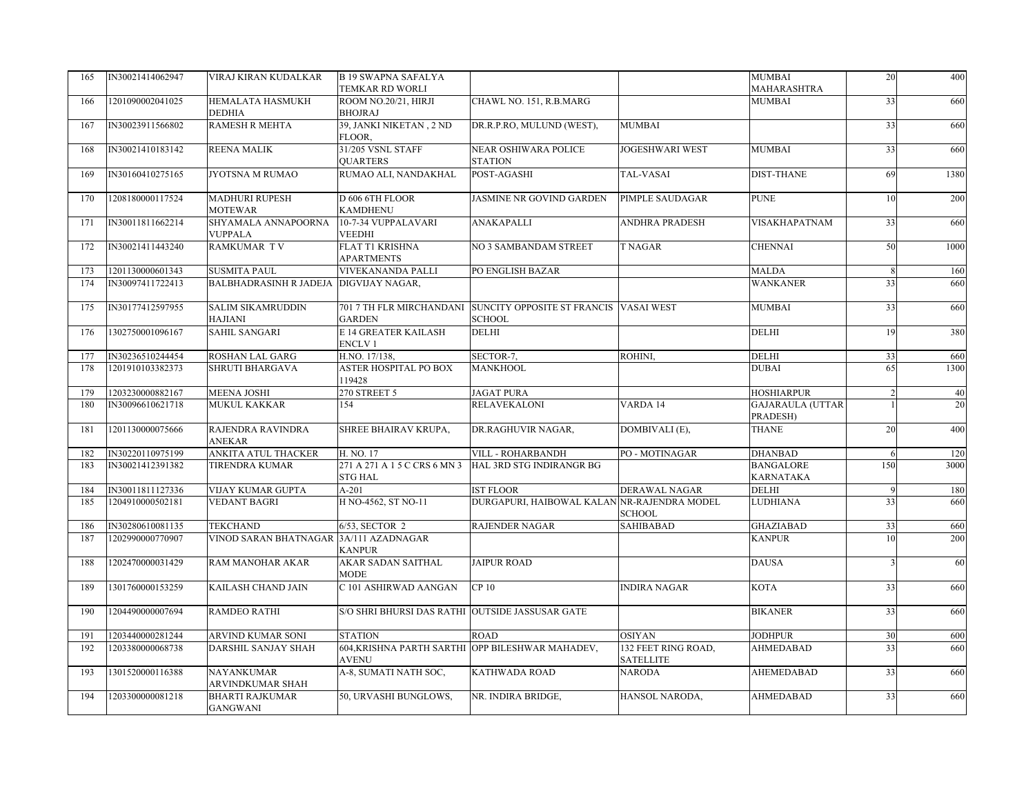| 165 | IN30021414062947 | VIRAJ KIRAN KUDALKAR                      | <b>B 19 SWAPNA SAFALYA</b><br>TEMKAR RD WORLI   |                                                         |                                         | MUMBAI<br>MAHARASHTRA                | 20             | 400  |
|-----|------------------|-------------------------------------------|-------------------------------------------------|---------------------------------------------------------|-----------------------------------------|--------------------------------------|----------------|------|
| 166 | 1201090002041025 | HEMALATA HASMUKH<br><b>DEDHIA</b>         | ROOM NO.20/21, HIRJI<br><b>BHOJRAJ</b>          | CHAWL NO. 151, R.B.MARG                                 |                                         | MUMBAI                               | 33             | 660  |
| 167 | IN30023911566802 | <b>RAMESH R MEHTA</b>                     | 39, JANKI NIKETAN, 2 ND<br>FLOOR,               | DR.R.P.RO, MULUND (WEST),                               | <b>MUMBAI</b>                           |                                      | 33             | 660  |
| 168 | IN30021410183142 | REENA MALIK                               | 31/205 VSNL STAFF<br><b>OUARTERS</b>            | NEAR OSHIWARA POLICE<br><b>STATION</b>                  | <b>JOGESHWARI WEST</b>                  | <b>MUMBAI</b>                        | 33             | 660  |
| 169 | IN30160410275165 | JYOTSNA M RUMAO                           | RUMAO ALI, NANDAKHAL                            | POST-AGASHI                                             | TAL-VASAI                               | DIST-THANE                           | 69             | 1380 |
| 170 | 1208180000117524 | <b>MADHURI RUPESH</b><br><b>MOTEWAR</b>   | D 606 6TH FLOOR<br><b>KAMDHENU</b>              | JASMINE NR GOVIND GARDEN                                | PIMPLE SAUDAGAR                         | <b>PUNE</b>                          | 10             | 200  |
| 171 | IN30011811662214 | SHYAMALA ANNAPOORNA<br><b>VUPPALA</b>     | 10-7-34 VUPPALAVARI<br><b>VEEDHI</b>            | ANAKAPALLI                                              | <b>ANDHRA PRADESH</b>                   | <b>VISAKHAPATNAM</b>                 | 33             | 660  |
| 172 | IN30021411443240 | RAMKUMAR TV                               | <b>FLAT T1 KRISHNA</b><br><b>APARTMENTS</b>     | NO 3 SAMBANDAM STREET                                   | <b>T NAGAR</b>                          | <b>CHENNAI</b>                       | 50             | 1000 |
| 173 | 1201130000601343 | <b>SUSMITA PAUL</b>                       | <b>VIVEKANANDA PALLI</b>                        | PO ENGLISH BAZAR                                        |                                         | <b>MALDA</b>                         | 8              | 160  |
| 174 | IN30097411722413 | BALBHADRASINH R JADEJA DIGVIJAY NAGAR,    |                                                 |                                                         |                                         | WANKANER                             | 33             | 660  |
| 175 | IN30177412597955 | <b>SALIM SIKAMRUDDIN</b><br>HAJIANI       | 701 7 TH FLR MIRCHANDANI<br><b>GARDEN</b>       | SUNCITY OPPOSITE ST FRANCIS VASAI WEST<br><b>SCHOOL</b> |                                         | MUMBAI                               | 33             | 660  |
| 176 | 1302750001096167 | SAHIL SANGARI                             | E 14 GREATER KAILASH<br><b>ENCLV1</b>           | <b>DELHI</b>                                            |                                         | DELHI                                | 19             | 380  |
| 177 | IN30236510244454 | ROSHAN LAL GARG                           | H.NO. 17/138,                                   | SECTOR-7,                                               | ROHINI,                                 | DELHI                                | 33             | 660  |
| 178 | 1201910103382373 | SHRUTI BHARGAVA                           | <b>ASTER HOSPITAL PO BOX</b><br>119428          | <b>MANKHOOL</b>                                         |                                         | <b>DUBAI</b>                         | 65             | 1300 |
| 179 | 1203230000882167 | MEENA JOSHI                               | 270 STREET 5                                    | <b>JAGAT PURA</b>                                       |                                         | <b>HOSHIARPUR</b>                    | $\overline{2}$ | 40   |
| 180 | IN30096610621718 | <b>MUKUL KAKKAR</b>                       | 154                                             | <b>RELAVEKALONI</b>                                     | VARDA 14                                | <b>GAJARAULA (UTTAR</b><br>PRADESH)  |                | 20   |
| 181 | 1201130000075666 | RAJENDRA RAVINDRA<br>ANEKAR               | SHREE BHAIRAV KRUPA,                            | DR.RAGHUVIR NAGAR,                                      | DOMBIVALI (E),                          | <b>THANE</b>                         | 20             | 400  |
| 182 | IN30220110975199 | ANKITA ATUL THACKER                       | H. NO. 17                                       | VILL - ROHARBANDH                                       | PO-MOTINAGAR                            | DHANBAD                              | 6              | 120  |
| 183 | IN30021412391382 | <b>TIRENDRA KUMAR</b>                     | 271 A 271 A 1 5 C CRS 6 MN 3<br><b>STG HAL</b>  | HAL 3RD STG INDIRANGR BG                                |                                         | <b>BANGALORE</b><br><b>KARNATAKA</b> | 150            | 3000 |
| 184 | IN30011811127336 | VIJAY KUMAR GUPTA                         | $A-201$                                         | <b>IST FLOOR</b>                                        | DERAWAL NAGAR                           | DELHI                                | 9              | 180  |
| 185 | 1204910000502181 | <b>VEDANT BAGRI</b>                       | H NO-4562, ST NO-11                             | DURGAPURI, HAIBOWAL KALAN NR-RAJENDRA MODEL             | <b>SCHOOL</b>                           | LUDHIANA                             | 33             | 660  |
| 186 | IN30280610081135 | TEKCHAND                                  | 6/53, SECTOR 2                                  | <b>RAJENDER NAGAR</b>                                   | <b>SAHIBABAD</b>                        | GHAZIABAD                            | 33             | 660  |
| 187 | 1202990000770907 | VINOD SARAN BHATNAGAR 3A/111 AZADNAGAR    | <b>KANPUR</b>                                   |                                                         |                                         | <b>KANPUR</b>                        | 10             | 200  |
| 188 | 1202470000031429 | RAM MANOHAR AKAR                          | AKAR SADAN SAITHAL<br><b>MODE</b>               | <b>JAIPUR ROAD</b>                                      |                                         | <b>DAUSA</b>                         | 3              | 60   |
| 189 | 1301760000153259 | KAILASH CHAND JAIN                        | C 101 ASHIRWAD AANGAN                           | CP 10                                                   | <b>INDIRA NAGAR</b>                     | KOTA                                 | 33             | 660  |
| 190 | 1204490000007694 | <b>RAMDEO RATHI</b>                       | S/O SHRI BHURSI DAS RATHI OUTSIDE JASSUSAR GATE |                                                         |                                         | <b>BIKANER</b>                       | 33             | 660  |
| 191 | 1203440000281244 | <b>ARVIND KUMAR SONI</b>                  | <b>STATION</b>                                  | <b>ROAD</b>                                             | <b>OSIYAN</b>                           | <b>JODHPUR</b>                       | 30             | 600  |
| 192 | 1203380000068738 | DARSHIL SANJAY SHAH                       | <b>AVENU</b>                                    | 604, KRISHNA PARTH SARTHI OPP BILESHWAR MAHADEV,        | 132 FEET RING ROAD,<br><b>SATELLITE</b> | <b>AHMEDABAD</b>                     | 33             | 660  |
| 193 | 1301520000116388 | NAYANKUMAR<br>ARVINDKUMAR SHAH            | A-8, SUMATI NATH SOC,                           | KATHWADA ROAD                                           | <b>NARODA</b>                           | AHEMEDABAD                           | 33             | 660  |
| 194 | 1203300000081218 | <b>BHARTI RAJKUMAR</b><br><b>GANGWANI</b> | 50, URVASHI BUNGLOWS,                           | NR. INDIRA BRIDGE,                                      | HANSOL NARODA,                          | <b>AHMEDABAD</b>                     | 33             | 660  |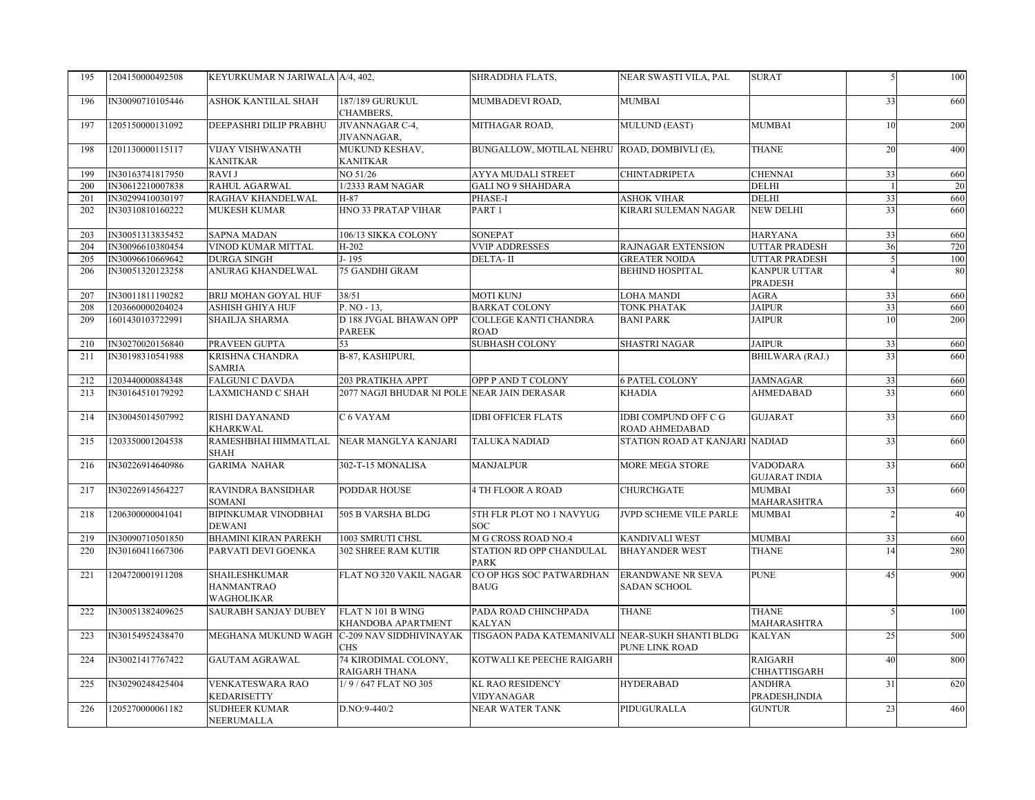| 195 | 1204150000492508 | KEYURKUMAR N JARIWALA A/4, 402,                         |                                             | SHRADDHA FLATS,                                 | NEAR SWASTI VILA, PAL                           | <b>SURAT</b>                            | 5              | 100 |
|-----|------------------|---------------------------------------------------------|---------------------------------------------|-------------------------------------------------|-------------------------------------------------|-----------------------------------------|----------------|-----|
| 196 | IN30090710105446 | <b>ASHOK KANTILAL SHAH</b>                              | 187/189 GURUKUL<br>CHAMBERS,                | MUMBADEVI ROAD,                                 | <b>MUMBAI</b>                                   |                                         | 33             | 660 |
| 197 | 1205150000131092 | DEEPASHRI DILIP PRABHU                                  | JIVANNAGAR C-4,<br>JIVANNAGAR,              | MITHAGAR ROAD,                                  | <b>MULUND (EAST)</b>                            | <b>MUMBAI</b>                           | 10             | 200 |
| 198 | 1201130000115117 | <b>VIJAY VISHWANATH</b><br><b>KANITKAR</b>              | MUKUND KESHAV,<br><b>KANITKAR</b>           | BUNGALLOW, MOTILAL NEHRU ROAD, DOMBIVLI (E),    |                                                 | <b>THANE</b>                            | 20             | 400 |
| 199 | IN30163741817950 | <b>RAVIJ</b>                                            | NO 51/26                                    | <b>AYYA MUDALI STREET</b>                       | <b>CHINTADRIPETA</b>                            | <b>CHENNAI</b>                          | 33             | 660 |
| 200 | IN30612210007838 | RAHUL AGARWAL                                           | 1/2333 RAM NAGAR                            | <b>GALI NO 9 SHAHDARA</b>                       |                                                 | <b>DELHI</b>                            | $\overline{1}$ | 20  |
| 201 | IN30299410030197 | RAGHAV KHANDELWAL                                       | H-87                                        | PHASE-I                                         | <b>ASHOK VIHAR</b>                              | DELHI                                   | 33             | 660 |
| 202 | IN30310810160222 | <b>MUKESH KUMAR</b>                                     | HNO 33 PRATAP VIHAR                         | PART <sub>1</sub>                               | KIRARI SULEMAN NAGAR                            | <b>NEW DELHI</b>                        | 33             | 660 |
| 203 | IN30051313835452 | <b>SAPNA MADAN</b>                                      | 106/13 SIKKA COLONY                         | <b>SONEPAT</b>                                  |                                                 | <b>HARYANA</b>                          | 33             | 660 |
| 204 | IN30096610380454 | VINOD KUMAR MITTAL                                      | H-202                                       | <b>VVIP ADDRESSES</b>                           | <b>RAJNAGAR EXTENSION</b>                       | UTTAR PRADESH                           | 36             | 720 |
| 205 | IN30096610669642 | <b>DURGA SINGH</b>                                      | J-195                                       | DELTA-II                                        | <b>GREATER NOIDA</b>                            | UTTAR PRADESH                           | 5              | 100 |
| 206 | IN30051320123258 | ANURAG KHANDELWAL                                       | 75 GANDHI GRAM                              |                                                 | <b>BEHIND HOSPITAL</b>                          | KANPUR UTTAR<br>PRADESH                 |                | 80  |
| 207 | IN30011811190282 | <b>BRIJ MOHAN GOYAL HUF</b>                             | 38/51                                       | <b>MOTI KUNJ</b>                                | <b>LOHA MANDI</b>                               | AGRA                                    | 33             | 660 |
| 208 | 1203660000204024 | ASHISH GHIYA HUF                                        | $\overline{P.}$ NO - 13,                    | <b>BARKAT COLONY</b>                            | TONK PHATAK                                     | <b>JAIPUR</b>                           | 33             | 660 |
| 209 | 1601430103722991 | <b>SHAILJA SHARMA</b>                                   | D 188 JVGAL BHAWAN OPP<br><b>PAREEK</b>     | COLLEGE KANTI CHANDRA<br><b>ROAD</b>            | <b>BANI PARK</b>                                | <b>JAIPUR</b>                           | 10             | 200 |
| 210 | IN30270020156840 | PRAVEEN GUPTA                                           | 53                                          | <b>SUBHASH COLONY</b>                           | <b>SHASTRI NAGAR</b>                            | <b>JAIPUR</b>                           | 33             | 660 |
| 211 | IN30198310541988 | KRISHNA CHANDRA<br><b>SAMRIA</b>                        | B-87, KASHIPURI,                            |                                                 |                                                 | BHILWARA (RAJ.)                         | 33             | 660 |
| 212 | 1203440000884348 | <b>FALGUNI C DAVDA</b>                                  | 203 PRATIKHA APPT                           | OPP P AND T COLONY                              | <b>6 PATEL COLONY</b>                           | <b>JAMNAGAR</b>                         | 33             | 660 |
| 213 | IN30164510179292 | <b>LAXMICHAND C SHAH</b>                                | 2077 NAGJI BHUDAR NI POLE NEAR JAIN DERASAR |                                                 | <b>KHADIA</b>                                   | <b>AHMEDABAD</b>                        | 33             | 660 |
| 214 | IN30045014507992 | <b>RISHI DAYANAND</b><br><b>KHARKWAL</b>                | C 6 VAYAM                                   | <b>IDBI OFFICER FLATS</b>                       | <b>IDBI COMPUND OFF C G</b><br>ROAD AHMEDABAD   | <b>GUJARAT</b>                          | 33             | 660 |
| 215 | 1203350001204538 | RAMESHBHAI HIMMATLAL<br><b>SHAH</b>                     | NEAR MANGLYA KANJARI                        | TALUKA NADIAD                                   | STATION ROAD AT KANJARI NADIAD                  |                                         | 33             | 660 |
| 216 | IN30226914640986 | <b>GARIMA NAHAR</b>                                     | 302-T-15 MONALISA                           | MANJALPUR                                       | MORE MEGA STORE                                 | <b>VADODARA</b><br><b>GUJARAT INDIA</b> | 33             | 660 |
| 217 | IN30226914564227 | RAVINDRA BANSIDHAR<br><b>SOMANI</b>                     | PODDAR HOUSE                                | <b>4 TH FLOOR A ROAD</b>                        | <b>CHURCHGATE</b>                               | MUMBAI<br>MAHARASHTRA                   | 33             | 660 |
| 218 | 1206300000041041 | <b>BIPINKUMAR VINODBHAI</b><br><b>DEWANI</b>            | 505 B VARSHA BLDG                           | 5TH FLR PLOT NO 1 NAVYUG<br><b>SOC</b>          | JVPD SCHEME VILE PARLE                          | <b>MUMBAI</b>                           | $\overline{2}$ | 40  |
| 219 | IN30090710501850 | <b>BHAMINI KIRAN PAREKH</b>                             | 1003 SMRUTI CHSL                            | M G CROSS ROAD NO.4                             | <b>KANDIVALI WEST</b>                           | MUMBAI                                  | 33             | 660 |
| 220 | IN30160411667306 | PARVATI DEVI GOENKA                                     | <b>302 SHREE RAM KUTIR</b>                  | STATION RD OPP CHANDULAL<br><b>PARK</b>         | <b>BHAYANDER WEST</b>                           | THANE                                   | 14             | 280 |
| 221 | 1204720001911208 | <b>SHAILESHKUMAR</b><br><b>HANMANTRAO</b><br>WAGHOLIKAR | FLAT NO 320 VAKIL NAGAR                     | CO OP HGS SOC PATWARDHAN<br><b>BAUG</b>         | <b>ERANDWANE NR SEVA</b><br><b>SADAN SCHOOL</b> | <b>PUNE</b>                             | 45             | 900 |
| 222 | IN30051382409625 | SAURABH SANJAY DUBEY                                    | FLAT N 101 B WING<br>KHANDOBA APARTMENT     | PADA ROAD CHINCHPADA<br>KALYAN                  | <b>THANE</b>                                    | <b>THANE</b><br>MAHARASHTRA             | 5              | 100 |
| 223 | IN30154952438470 | MEGHANA MUKUND WAGH C-209 NAV SIDDHIVINAYAK             | <b>CHS</b>                                  | TISGAON PADA KATEMANIVALI NEAR-SUKH SHANTI BLDG | PUNE LINK ROAD                                  | <b>KALYAN</b>                           | 25             | 500 |
| 224 | IN30021417767422 | <b>GAUTAM AGRAWAL</b>                                   | 74 KIRODIMAL COLONY,<br>RAIGARH THANA       | KOTWALI KE PEECHE RAIGARH                       |                                                 | RAIGARH<br>CHHATTISGARH                 | 40             | 800 |
| 225 | IN30290248425404 | <b>VENKATESWARA RAO</b><br><b>KEDARISETTY</b>           | 1/9/647 FLAT NO 305                         | <b>KL RAO RESIDENCY</b><br>VIDYANAGAR           | <b>HYDERABAD</b>                                | <b>ANDHRA</b><br>PRADESH, INDIA         | 31             | 620 |
| 226 | 1205270000061182 | <b>SUDHEER KUMAR</b><br>NEERUMALLA                      | $D.NO:9-440/2$                              | NEAR WATER TANK                                 | PIDUGURALLA                                     | <b>GUNTUR</b>                           | 23             | 460 |